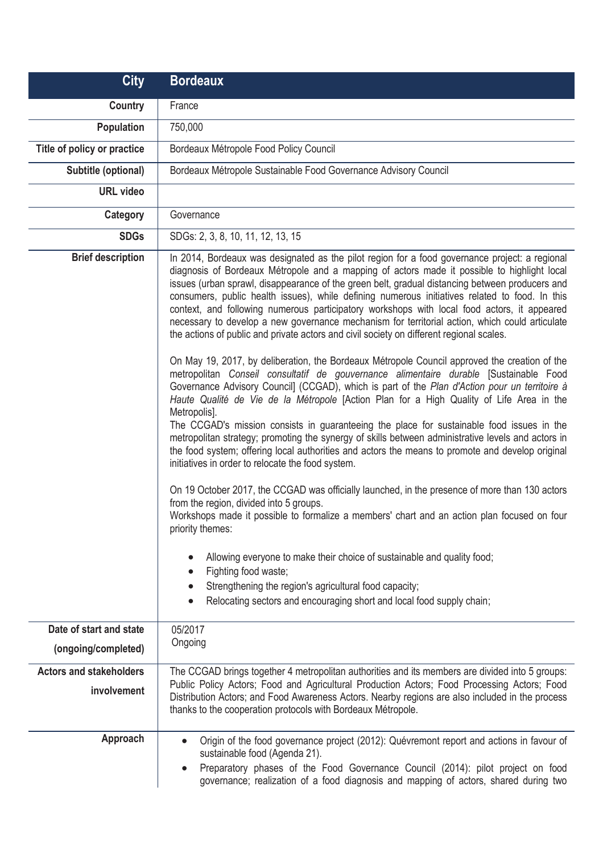| <b>City</b>                                    | <b>Bordeaux</b>                                                                                                                                                                                                                                                                                                                                                                                                                                                                                                                                                                                                                                                                                                                                                                                                                                                                                                                                                                                                                                                                                        |
|------------------------------------------------|--------------------------------------------------------------------------------------------------------------------------------------------------------------------------------------------------------------------------------------------------------------------------------------------------------------------------------------------------------------------------------------------------------------------------------------------------------------------------------------------------------------------------------------------------------------------------------------------------------------------------------------------------------------------------------------------------------------------------------------------------------------------------------------------------------------------------------------------------------------------------------------------------------------------------------------------------------------------------------------------------------------------------------------------------------------------------------------------------------|
| <b>Country</b>                                 | France                                                                                                                                                                                                                                                                                                                                                                                                                                                                                                                                                                                                                                                                                                                                                                                                                                                                                                                                                                                                                                                                                                 |
| <b>Population</b>                              | 750,000                                                                                                                                                                                                                                                                                                                                                                                                                                                                                                                                                                                                                                                                                                                                                                                                                                                                                                                                                                                                                                                                                                |
| Title of policy or practice                    | Bordeaux Métropole Food Policy Council                                                                                                                                                                                                                                                                                                                                                                                                                                                                                                                                                                                                                                                                                                                                                                                                                                                                                                                                                                                                                                                                 |
| Subtitle (optional)                            | Bordeaux Métropole Sustainable Food Governance Advisory Council                                                                                                                                                                                                                                                                                                                                                                                                                                                                                                                                                                                                                                                                                                                                                                                                                                                                                                                                                                                                                                        |
| <b>URL</b> video                               |                                                                                                                                                                                                                                                                                                                                                                                                                                                                                                                                                                                                                                                                                                                                                                                                                                                                                                                                                                                                                                                                                                        |
| Category                                       | Governance                                                                                                                                                                                                                                                                                                                                                                                                                                                                                                                                                                                                                                                                                                                                                                                                                                                                                                                                                                                                                                                                                             |
| <b>SDGs</b>                                    | SDGs: 2, 3, 8, 10, 11, 12, 13, 15                                                                                                                                                                                                                                                                                                                                                                                                                                                                                                                                                                                                                                                                                                                                                                                                                                                                                                                                                                                                                                                                      |
| <b>Brief description</b>                       | In 2014, Bordeaux was designated as the pilot region for a food governance project: a regional<br>diagnosis of Bordeaux Métropole and a mapping of actors made it possible to highlight local<br>issues (urban sprawl, disappearance of the green belt, gradual distancing between producers and<br>consumers, public health issues), while defining numerous initiatives related to food. In this<br>context, and following numerous participatory workshops with local food actors, it appeared<br>necessary to develop a new governance mechanism for territorial action, which could articulate<br>the actions of public and private actors and civil society on different regional scales.<br>On May 19, 2017, by deliberation, the Bordeaux Métropole Council approved the creation of the<br>metropolitan Conseil consultatif de gouvernance alimentaire durable [Sustainable Food<br>Governance Advisory Council] (CCGAD), which is part of the Plan d'Action pour un territoire à<br>Haute Qualité de Vie de la Métropole [Action Plan for a High Quality of Life Area in the<br>Metropolis]. |
|                                                | The CCGAD's mission consists in guaranteeing the place for sustainable food issues in the<br>metropolitan strategy; promoting the synergy of skills between administrative levels and actors in<br>the food system; offering local authorities and actors the means to promote and develop original<br>initiatives in order to relocate the food system.<br>On 19 October 2017, the CCGAD was officially launched, in the presence of more than 130 actors<br>from the region, divided into 5 groups.<br>Workshops made it possible to formalize a members' chart and an action plan focused on four<br>priority themes:                                                                                                                                                                                                                                                                                                                                                                                                                                                                               |
|                                                | Allowing everyone to make their choice of sustainable and quality food;<br>Fighting food waste;<br>Strengthening the region's agricultural food capacity;<br>Relocating sectors and encouraging short and local food supply chain;                                                                                                                                                                                                                                                                                                                                                                                                                                                                                                                                                                                                                                                                                                                                                                                                                                                                     |
| Date of start and state<br>(ongoing/completed) | 05/2017<br>Ongoing                                                                                                                                                                                                                                                                                                                                                                                                                                                                                                                                                                                                                                                                                                                                                                                                                                                                                                                                                                                                                                                                                     |
| <b>Actors and stakeholders</b><br>involvement  | The CCGAD brings together 4 metropolitan authorities and its members are divided into 5 groups:<br>Public Policy Actors; Food and Agricultural Production Actors; Food Processing Actors; Food<br>Distribution Actors; and Food Awareness Actors. Nearby regions are also included in the process<br>thanks to the cooperation protocols with Bordeaux Métropole.                                                                                                                                                                                                                                                                                                                                                                                                                                                                                                                                                                                                                                                                                                                                      |
| Approach                                       | Origin of the food governance project (2012): Quévremont report and actions in favour of<br>$\bullet$<br>sustainable food (Agenda 21).<br>Preparatory phases of the Food Governance Council (2014): pilot project on food<br>$\bullet$<br>governance; realization of a food diagnosis and mapping of actors, shared during two                                                                                                                                                                                                                                                                                                                                                                                                                                                                                                                                                                                                                                                                                                                                                                         |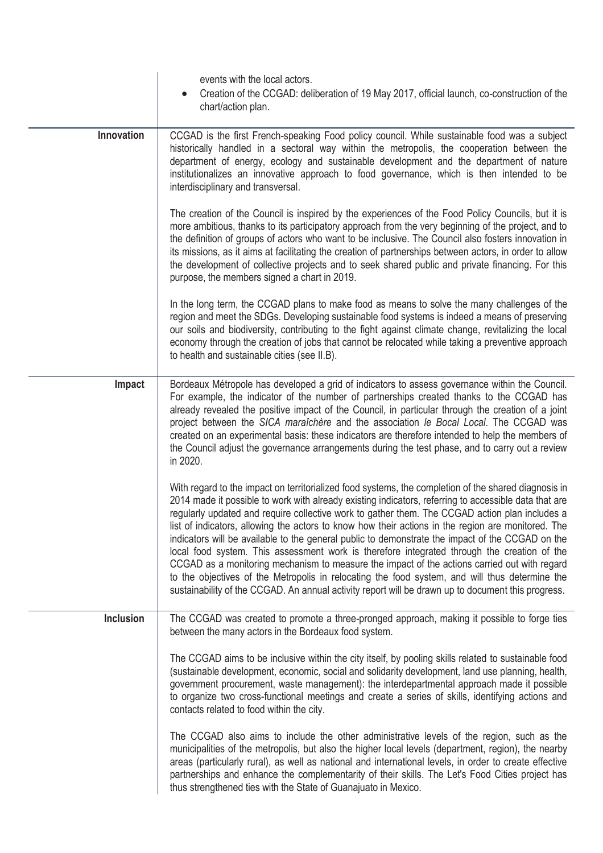|                  | events with the local actors.                                                                                                                                                                                                                                                                                                                                                                                                                                                                                                                                                                                                                                                                                                                                                                                                                                                                                                    |
|------------------|----------------------------------------------------------------------------------------------------------------------------------------------------------------------------------------------------------------------------------------------------------------------------------------------------------------------------------------------------------------------------------------------------------------------------------------------------------------------------------------------------------------------------------------------------------------------------------------------------------------------------------------------------------------------------------------------------------------------------------------------------------------------------------------------------------------------------------------------------------------------------------------------------------------------------------|
|                  | Creation of the CCGAD: deliberation of 19 May 2017, official launch, co-construction of the                                                                                                                                                                                                                                                                                                                                                                                                                                                                                                                                                                                                                                                                                                                                                                                                                                      |
|                  | chart/action plan.                                                                                                                                                                                                                                                                                                                                                                                                                                                                                                                                                                                                                                                                                                                                                                                                                                                                                                               |
| Innovation       | CCGAD is the first French-speaking Food policy council. While sustainable food was a subject<br>historically handled in a sectoral way within the metropolis, the cooperation between the<br>department of energy, ecology and sustainable development and the department of nature<br>institutionalizes an innovative approach to food governance, which is then intended to be<br>interdisciplinary and transversal.                                                                                                                                                                                                                                                                                                                                                                                                                                                                                                           |
|                  | The creation of the Council is inspired by the experiences of the Food Policy Councils, but it is<br>more ambitious, thanks to its participatory approach from the very beginning of the project, and to<br>the definition of groups of actors who want to be inclusive. The Council also fosters innovation in<br>its missions, as it aims at facilitating the creation of partnerships between actors, in order to allow<br>the development of collective projects and to seek shared public and private financing. For this<br>purpose, the members signed a chart in 2019.                                                                                                                                                                                                                                                                                                                                                   |
|                  | In the long term, the CCGAD plans to make food as means to solve the many challenges of the<br>region and meet the SDGs. Developing sustainable food systems is indeed a means of preserving<br>our soils and biodiversity, contributing to the fight against climate change, revitalizing the local<br>economy through the creation of jobs that cannot be relocated while taking a preventive approach<br>to health and sustainable cities (see II.B).                                                                                                                                                                                                                                                                                                                                                                                                                                                                         |
| Impact           | Bordeaux Métropole has developed a grid of indicators to assess governance within the Council.<br>For example, the indicator of the number of partnerships created thanks to the CCGAD has<br>already revealed the positive impact of the Council, in particular through the creation of a joint<br>project between the SICA maraîchère and the association le Bocal Local. The CCGAD was<br>created on an experimental basis: these indicators are therefore intended to help the members of<br>the Council adjust the governance arrangements during the test phase, and to carry out a review<br>in 2020.                                                                                                                                                                                                                                                                                                                     |
|                  | With regard to the impact on territorialized food systems, the completion of the shared diagnosis in<br>2014 made it possible to work with already existing indicators, referring to accessible data that are<br>regularly updated and require collective work to gather them. The CCGAD action plan includes a<br>list of indicators, allowing the actors to know how their actions in the region are monitored. The<br>indicators will be available to the general public to demonstrate the impact of the CCGAD on the<br>local food system. This assessment work is therefore integrated through the creation of the<br>CCGAD as a monitoring mechanism to measure the impact of the actions carried out with regard<br>to the objectives of the Metropolis in relocating the food system, and will thus determine the<br>sustainability of the CCGAD. An annual activity report will be drawn up to document this progress. |
| <b>Inclusion</b> | The CCGAD was created to promote a three-pronged approach, making it possible to forge ties<br>between the many actors in the Bordeaux food system.                                                                                                                                                                                                                                                                                                                                                                                                                                                                                                                                                                                                                                                                                                                                                                              |
|                  | The CCGAD aims to be inclusive within the city itself, by pooling skills related to sustainable food<br>(sustainable development, economic, social and solidarity development, land use planning, health,<br>government procurement, waste management): the interdepartmental approach made it possible<br>to organize two cross-functional meetings and create a series of skills, identifying actions and<br>contacts related to food within the city.                                                                                                                                                                                                                                                                                                                                                                                                                                                                         |
|                  | The CCGAD also aims to include the other administrative levels of the region, such as the<br>municipalities of the metropolis, but also the higher local levels (department, region), the nearby<br>areas (particularly rural), as well as national and international levels, in order to create effective<br>partnerships and enhance the complementarity of their skills. The Let's Food Cities project has<br>thus strengthened ties with the State of Guanajuato in Mexico.                                                                                                                                                                                                                                                                                                                                                                                                                                                  |